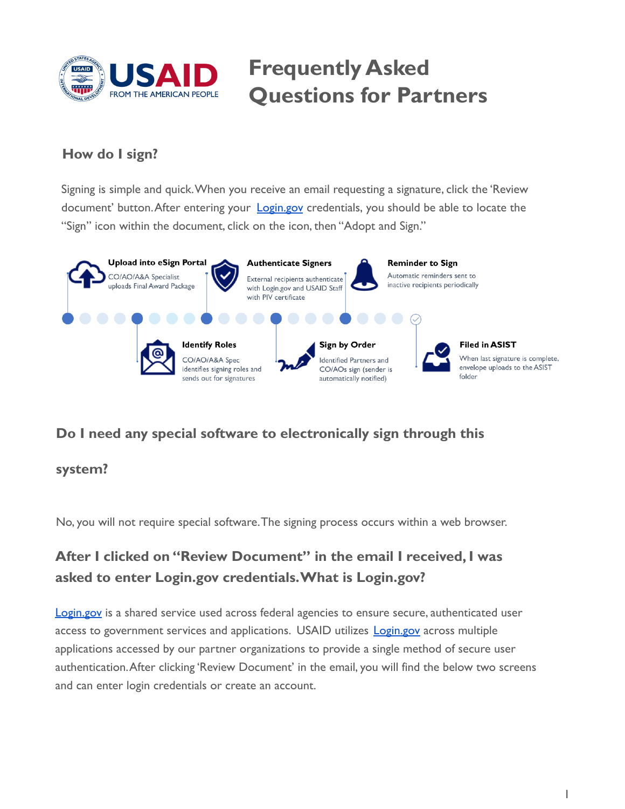

# **Frequently Asked Questions for Partners**

#### **How do I sign?**

Signing is simple and quick.When you receive an email requesting a signature, click the 'Review document' button. After entering your **[Login.gov](https://www.login.gov/)** credentials, you should be able to locate the "Sign" icon within the document, click on the icon, then "Adopt and Sign."



#### **Do I need any special software to electronically sign through this**

#### **system?**

No, you will not require special software.The signing process occurs within a web browser.

## **After I clicked on "Review Document" in the email I received, I was asked to enter [Login.gov](https://Login.gov) credentials.What is [Login.gov?](https://Login.gov)**

[Login.gov](https://www.login.gov/) is a shared service used across federal agencies to ensure secure, authenticated user access to government services and applications. USAID utilizes **[Login.gov](https://www.login.gov/)** across multiple applications accessed by our partner organizations to provide a single method of secure user authentication.After clicking 'Review Document' in the email, you will find the below two screens and can enter login credentials or create an account.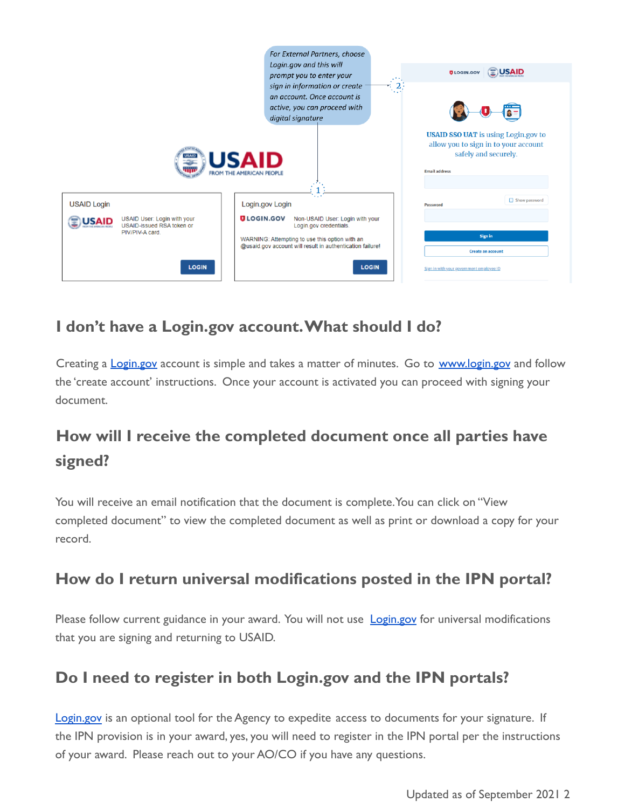

## **I don't have a [Login.gov](https://Login.gov) account.What should I do?**

Creating a **[Login.gov](https://www.login.gov/)** account is simple and takes a matter of minutes. Go to [www.login.gov](https://www.login.gov/create-an-account/) and follow the 'create account' instructions. Once your account is activated you can proceed with signing your document.

## **How will I receive the completed document once all parties have signed?**

You will receive an email notification that the document is complete.You can click on "View completed document" to view the completed document as well as print or download a copy for your record.

## **How do I return universal modifications posted in the IPN portal?**

Please follow current guidance in your award. You will not use [Login.gov](https://www.login.gov/) for universal modifications that you are signing and returning to USAID.

## **Do I need to register in both [Login.gov](https://Login.gov) and the IPN portals?**

[Login.gov](https://www.login.gov/) is an optional tool for the Agency to expedite access to documents for your signature. If the IPN provision is in your award, yes, you will need to register in the IPN portal per the instructions of your award. Please reach out to your AO/CO if you have any questions.